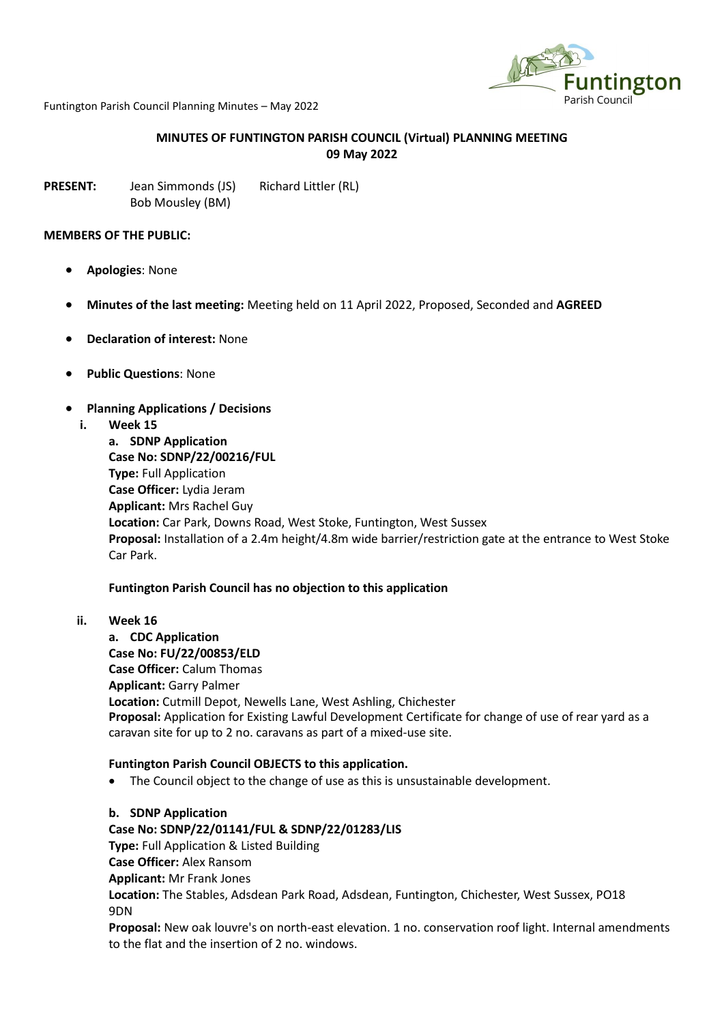

Funtington Parish Council Planning Minutes – May 2022

## **MINUTES OF FUNTINGTON PARISH COUNCIL (Virtual) PLANNING MEETING 09 May 2022**

**PRESENT:** Jean Simmonds (JS) Richard Littler (RL) Bob Mousley (BM)

#### **MEMBERS OF THE PUBLIC:**

- **Apologies**: None
- **Minutes of the last meeting:** Meeting held on 11 April 2022, Proposed, Seconded and **AGREED**
- **Declaration of interest:** None
- **Public Questions**: None
- **Planning Applications / Decisions**
	- **i. Week 15**

**a. SDNP Application Case No: SDNP/22/00216/FUL Type:** Full Application **Case Officer:** Lydia Jeram **Applicant:** Mrs Rachel Guy **Location:** Car Park, Downs Road, West Stoke, Funtington, West Sussex **Proposal:** Installation of a 2.4m height/4.8m wide barrier/restriction gate at the entrance to West Stoke Car Park.

### **Funtington Parish Council has no objection to this application**

**ii. Week 16**

**a. CDC Application Case No: FU/22/00853/ELD Case Officer:** Calum Thomas **Applicant:** Garry Palmer **Location:** Cutmill Depot, Newells Lane, West Ashling, Chichester **Proposal:** Application for Existing Lawful Development Certificate for change of use of rear yard as a caravan site for up to 2 no. caravans as part of a mixed-use site.

### **Funtington Parish Council OBJECTS to this application.**

• The Council object to the change of use as this is unsustainable development.

**b. SDNP Application Case No: SDNP/22/01141/FUL & SDNP/22/01283/LIS Type:** Full Application & Listed Building **Case Officer:** Alex Ransom **Applicant:** Mr Frank Jones **Location:** The Stables, Adsdean Park Road, Adsdean, Funtington, Chichester, West Sussex, PO18 9DN

**Proposal:** New oak louvre's on north-east elevation. 1 no. conservation roof light. Internal amendments to the flat and the insertion of 2 no. windows.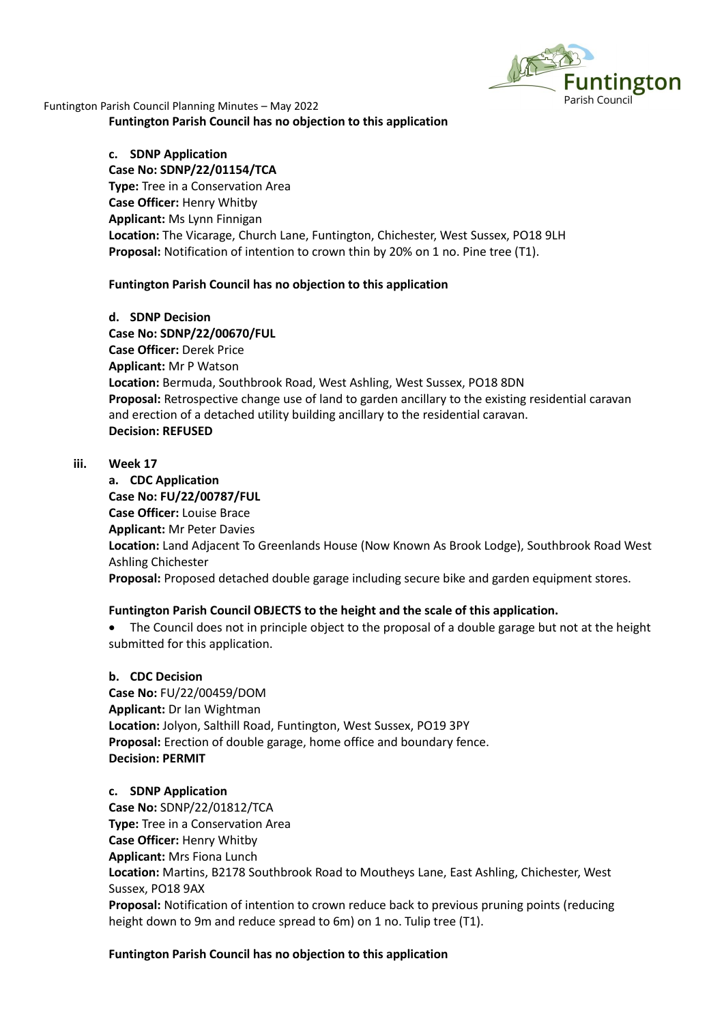

Funtington Parish Council Planning Minutes – May 2022 **Funtington Parish Council has no objection to this application**

> **c. SDNP Application Case No: SDNP/22/01154/TCA Type:** Tree in a Conservation Area **Case Officer:** Henry Whitby **Applicant:** Ms Lynn Finnigan **Location:** The Vicarage, Church Lane, Funtington, Chichester, West Sussex, PO18 9LH **Proposal:** Notification of intention to crown thin by 20% on 1 no. Pine tree (T1).

### **Funtington Parish Council has no objection to this application**

**d. SDNP Decision Case No: SDNP/22/00670/FUL Case Officer:** Derek Price **Applicant:** Mr P Watson **Location:** Bermuda, Southbrook Road, West Ashling, West Sussex, PO18 8DN **Proposal:** Retrospective change use of land to garden ancillary to the existing residential caravan and erection of a detached utility building ancillary to the residential caravan. **Decision: REFUSED**

### **iii. Week 17**

**a. CDC Application Case No: FU/22/00787/FUL Case Officer:** Louise Brace **Applicant:** Mr Peter Davies **Location:** Land Adjacent To Greenlands House (Now Known As Brook Lodge), Southbrook Road West Ashling Chichester **Proposal:** Proposed detached double garage including secure bike and garden equipment stores.

### **Funtington Parish Council OBJECTS to the height and the scale of this application.**

• The Council does not in principle object to the proposal of a double garage but not at the height submitted for this application.

### **b. CDC Decision**

**Case No:** FU/22/00459/DOM **Applicant:** Dr Ian Wightman **Location:** Jolyon, Salthill Road, Funtington, West Sussex, PO19 3PY **Proposal:** Erection of double garage, home office and boundary fence. **Decision: PERMIT**

### **c. SDNP Application**

**Case No:** SDNP/22/01812/TCA **Type:** Tree in a Conservation Area **Case Officer:** Henry Whitby **Applicant:** Mrs Fiona Lunch **Location:** Martins, B2178 Southbrook Road to Moutheys Lane, East Ashling, Chichester, West Sussex, PO18 9AX **Proposal:** Notification of intention to crown reduce back to previous pruning points (reducing height down to 9m and reduce spread to 6m) on 1 no. Tulip tree (T1).

### **Funtington Parish Council has no objection to this application**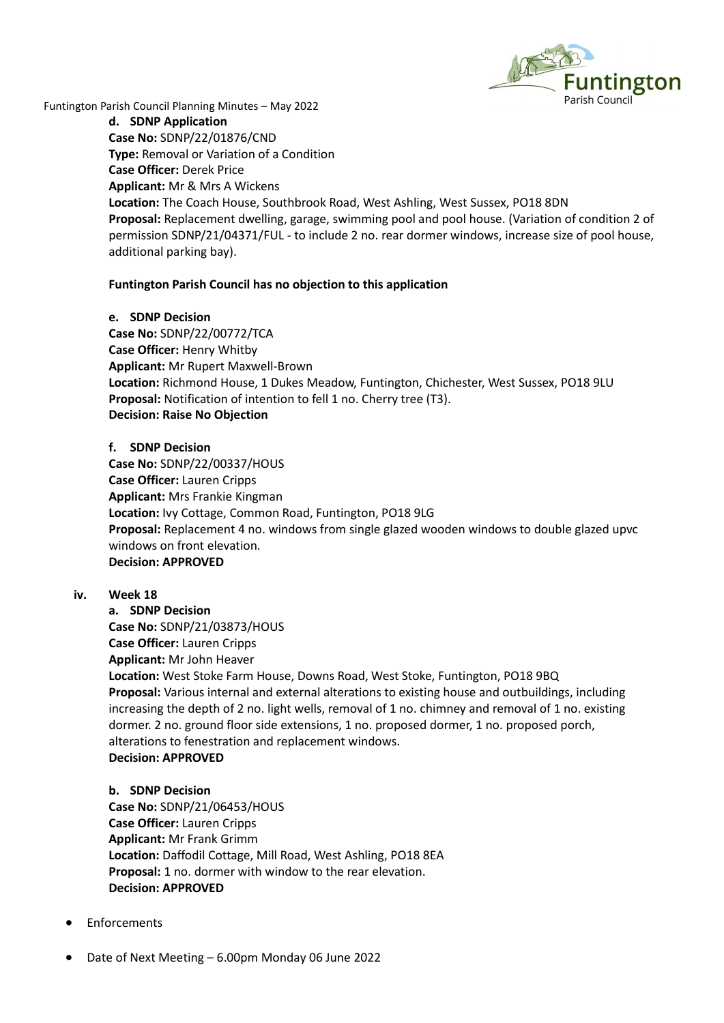

Funtington Parish Council Planning Minutes – May 2022

**d. SDNP Application Case No:** SDNP/22/01876/CND **Type:** Removal or Variation of a Condition **Case Officer:** Derek Price **Applicant:** Mr & Mrs A Wickens **Location:** The Coach House, Southbrook Road, West Ashling, West Sussex, PO18 8DN **Proposal:** Replacement dwelling, garage, swimming pool and pool house. (Variation of condition 2 of permission SDNP/21/04371/FUL - to include 2 no. rear dormer windows, increase size of pool house, additional parking bay).

# **Funtington Parish Council has no objection to this application**

### **e. SDNP Decision**

**Case No:** SDNP/22/00772/TCA **Case Officer:** Henry Whitby **Applicant:** Mr Rupert Maxwell-Brown **Location:** Richmond House, 1 Dukes Meadow, Funtington, Chichester, West Sussex, PO18 9LU **Proposal:** Notification of intention to fell 1 no. Cherry tree (T3). **Decision: Raise No Objection**

## **f. SDNP Decision**

**Case No:** SDNP/22/00337/HOUS **Case Officer:** Lauren Cripps **Applicant:** Mrs Frankie Kingman **Location:** Ivy Cottage, Common Road, Funtington, PO18 9LG **Proposal:** Replacement 4 no. windows from single glazed wooden windows to double glazed upvc windows on front elevation. **Decision: APPROVED**

### **iv. Week 18**

**a. SDNP Decision Case No:** SDNP/21/03873/HOUS **Case Officer:** Lauren Cripps **Applicant:** Mr John Heaver **Location:** West Stoke Farm House, Downs Road, West Stoke, Funtington, PO18 9BQ **Proposal:** Various internal and external alterations to existing house and outbuildings, including increasing the depth of 2 no. light wells, removal of 1 no. chimney and removal of 1 no. existing dormer. 2 no. ground floor side extensions, 1 no. proposed dormer, 1 no. proposed porch, alterations to fenestration and replacement windows. **Decision: APPROVED**

### **b. SDNP Decision**

**Case No:** SDNP/21/06453/HOUS **Case Officer:** Lauren Cripps **Applicant:** Mr Frank Grimm **Location:** Daffodil Cottage, Mill Road, West Ashling, PO18 8EA **Proposal:** 1 no. dormer with window to the rear elevation. **Decision: APPROVED**

- **Enforcements**
- Date of Next Meeting 6.00pm Monday 06 June 2022